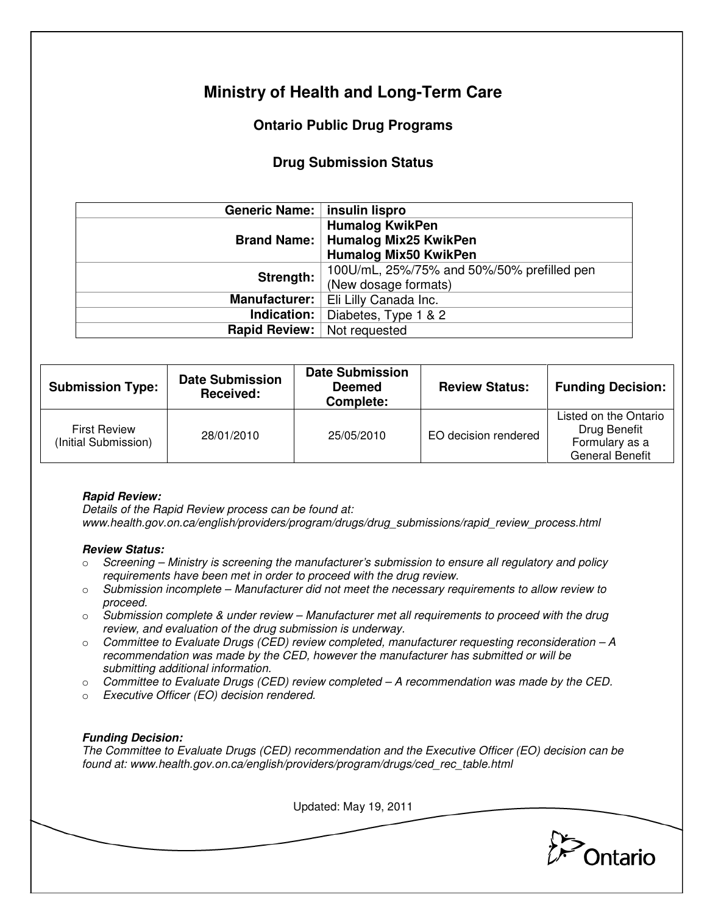# **Ministry of Health and Long-Term Care**

## **Ontario Public Drug Programs**

### **Drug Submission Status**

| Generic Name:   insulin lispro |                                            |  |  |
|--------------------------------|--------------------------------------------|--|--|
|                                | <b>Humalog KwikPen</b>                     |  |  |
|                                | Brand Name:   Humalog Mix25 KwikPen        |  |  |
|                                | <b>Humalog Mix50 KwikPen</b>               |  |  |
| Strength:                      | 100U/mL, 25%/75% and 50%/50% prefilled pen |  |  |
|                                | (New dosage formats)                       |  |  |
| <b>Manufacturer:</b>           | Eli Lilly Canada Inc.                      |  |  |
| Indication:                    | Diabetes, Type 1 & 2                       |  |  |
| <b>Rapid Review:</b>           | Not requested                              |  |  |

| <b>Submission Type:</b>                     | <b>Date Submission</b><br>Received: | <b>Date Submission</b><br><b>Deemed</b><br>Complete: | <b>Review Status:</b> | <b>Funding Decision:</b>                                                          |
|---------------------------------------------|-------------------------------------|------------------------------------------------------|-----------------------|-----------------------------------------------------------------------------------|
| <b>First Review</b><br>(Initial Submission) | 28/01/2010                          | 25/05/2010                                           | EO decision rendered  | Listed on the Ontario<br>Drug Benefit<br>Formulary as a<br><b>General Benefit</b> |

#### **Rapid Review:**

Details of the Rapid Review process can be found at: www.health.gov.on.ca/english/providers/program/drugs/drug\_submissions/rapid\_review\_process.html

#### **Review Status:**

- $\circ$  Screening Ministry is screening the manufacturer's submission to ensure all regulatory and policy requirements have been met in order to proceed with the drug review.
- $\circ$  Submission incomplete Manufacturer did not meet the necessary requirements to allow review to proceed.
- $\circ$  Submission complete & under review Manufacturer met all requirements to proceed with the drug review, and evaluation of the drug submission is underway.
- $\circ$  Committee to Evaluate Drugs (CED) review completed, manufacturer requesting reconsideration  $-A$ recommendation was made by the CED, however the manufacturer has submitted or will be submitting additional information.
- $\circ$  Committee to Evaluate Drugs (CED) review completed  $-A$  recommendation was made by the CED.
- o Executive Officer (EO) decision rendered.

#### **Funding Decision:**

The Committee to Evaluate Drugs (CED) recommendation and the Executive Officer (EO) decision can be found at: www.health.gov.on.ca/english/providers/program/drugs/ced\_rec\_table.html

Updated: May 19, 2011